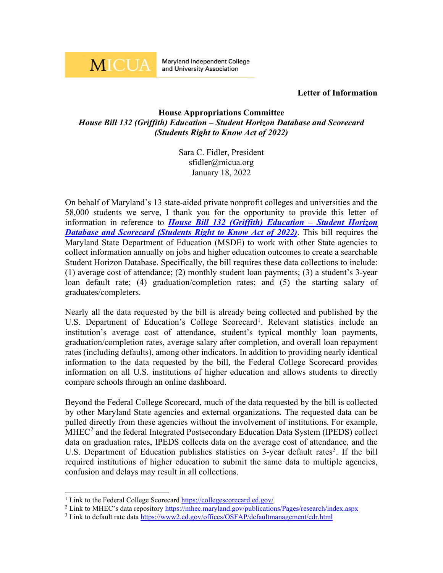

**Maryland Independent College** and University Association

## **Letter of Information**

## **House Appropriations Committee** *House Bill 132 (Griffith) Education – Student Horizon Database and Scorecard (Students Right to Know Act of 2022)*

Sara C. Fidler, President sfidler@micua.org January 18, 2022

On behalf of Maryland's 13 state-aided private nonprofit colleges and universities and the 58,000 students we serve, I thank you for the opportunity to provide this letter of information in reference to *House Bill 132 (Griffith) Education – [Student Horizon](https://mgaleg.maryland.gov/mgawebsite/Legislation/Details/hb0132)  [Database and Scorecard \(Students Right to Know Act of 2022\)](https://mgaleg.maryland.gov/mgawebsite/Legislation/Details/hb0132)*. This bill requires the Maryland State Department of Education (MSDE) to work with other State agencies to collect information annually on jobs and higher education outcomes to create a searchable Student Horizon Database. Specifically, the bill requires these data collections to include: (1) average cost of attendance; (2) monthly student loan payments; (3) a student's 3-year loan default rate; (4) graduation/completion rates; and (5) the starting salary of graduates/completers.

Nearly all the data requested by the bill is already being collected and published by the U.S. Department of Education's College Scorecard<sup>[1](#page-0-0)</sup>. Relevant statistics include an institution's average cost of attendance, student's typical monthly loan payments, graduation/completion rates, average salary after completion, and overall loan repayment rates (including defaults), among other indicators. In addition to providing nearly identical information to the data requested by the bill, the Federal College Scorecard provides information on all U.S. institutions of higher education and allows students to directly compare schools through an online dashboard.

Beyond the Federal College Scorecard, much of the data requested by the bill is collected by other Maryland State agencies and external organizations. The requested data can be pulled directly from these agencies without the involvement of institutions. For example,  $MHEC<sup>2</sup>$  $MHEC<sup>2</sup>$  $MHEC<sup>2</sup>$  and the federal Integrated Postsecondary Education Data System (IPEDS) collect data on graduation rates, IPEDS collects data on the average cost of attendance, and the U.S. Department of Education publishes statistics on [3](#page-0-2)-year default rates<sup>3</sup>. If the bill required institutions of higher education to submit the same data to multiple agencies, confusion and delays may result in all collections.

<sup>&</sup>lt;sup>1</sup> Link to the Federal College Scorecar[d https://collegescorecard.ed.gov/](https://collegescorecard.ed.gov/)

<span id="page-0-1"></span><span id="page-0-0"></span><sup>&</sup>lt;sup>2</sup> Link to MHEC's data repository<https://mhec.maryland.gov/publications/Pages/research/index.aspx>

<span id="page-0-2"></span><sup>&</sup>lt;sup>3</sup> Link to default rate data<https://www2.ed.gov/offices/OSFAP/defaultmanagement/cdr.html>